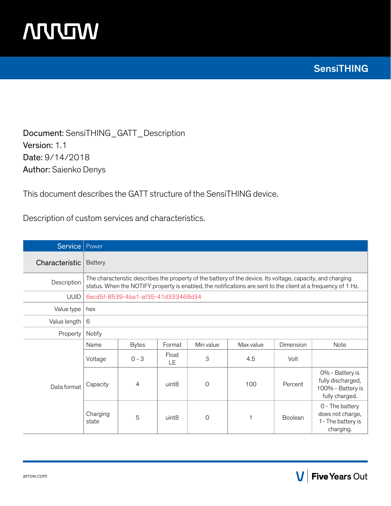

Document: SensiTHING\_GATT\_Description Version: 1.1 Date: 9/14/2018 Author: Saienko Denys

This document describes the GATT structure of the SensiTHING device.

Description of custom services and characteristics.

| <b>Service</b> | Power             |                                                                                                                                                                                                                              |                   |                |           |           |                                                                       |  |  |  |  |
|----------------|-------------------|------------------------------------------------------------------------------------------------------------------------------------------------------------------------------------------------------------------------------|-------------------|----------------|-----------|-----------|-----------------------------------------------------------------------|--|--|--|--|
| Characteristic | <b>Battery</b>    |                                                                                                                                                                                                                              |                   |                |           |           |                                                                       |  |  |  |  |
| Description    |                   | The characteristic describes the property of the battery of the device. Its voltage, capacity, and charging<br>status. When the NOTIFY property is enabled, the notifications are sent to the client at a frequency of 1 Hz. |                   |                |           |           |                                                                       |  |  |  |  |
| <b>UUID</b>    |                   | 6ecd5f-8539-4ba1-af35-41d333468d34                                                                                                                                                                                           |                   |                |           |           |                                                                       |  |  |  |  |
| Value type     | hex               |                                                                                                                                                                                                                              |                   |                |           |           |                                                                       |  |  |  |  |
| Value length   | 6                 |                                                                                                                                                                                                                              |                   |                |           |           |                                                                       |  |  |  |  |
| Property       | Notify            |                                                                                                                                                                                                                              |                   |                |           |           |                                                                       |  |  |  |  |
|                | Name              | <b>Bytes</b>                                                                                                                                                                                                                 | Format            | Min value      | Max value | Dimension | Note                                                                  |  |  |  |  |
|                | Voltage           | $0 - 3$                                                                                                                                                                                                                      | Float<br>LE       | 3              | 4.5       | Volt      |                                                                       |  |  |  |  |
| Data format    | Capacity          | 4                                                                                                                                                                                                                            | uint <sub>8</sub> | $\Omega$       | 100       | Percent   |                                                                       |  |  |  |  |
|                | Charging<br>state | 5                                                                                                                                                                                                                            | uint <sub>8</sub> | $\overline{O}$ | 1         | Boolean   | 0 - The battery<br>does not charge,<br>1- The battery is<br>charging. |  |  |  |  |

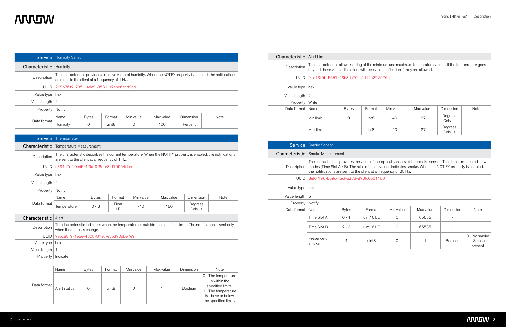| minimum and maximum temperature values. If the temperature goes |  |
|-----------------------------------------------------------------|--|
| eive a notification if they are allowed.                        |  |

# **NUUW**

|                | <b>Service</b>   Humidity Sensor                                                                                                                                   |              |                   |           |           |           |      |  |  |  |
|----------------|--------------------------------------------------------------------------------------------------------------------------------------------------------------------|--------------|-------------------|-----------|-----------|-----------|------|--|--|--|
| Characteristic | Humidity                                                                                                                                                           |              |                   |           |           |           |      |  |  |  |
| Description    | The characteristic provides a relative value of humidity. When the NOTIFY property is enabled, the notifications<br>are sent to the client at a frequency of 1 Hz. |              |                   |           |           |           |      |  |  |  |
| <b>UUID</b>    | 269b76f2-7351-4de9-8581-12ebe6abd9dd                                                                                                                               |              |                   |           |           |           |      |  |  |  |
| Value type     | hex                                                                                                                                                                |              |                   |           |           |           |      |  |  |  |
| Value length   |                                                                                                                                                                    |              |                   |           |           |           |      |  |  |  |
| Property       | Notify                                                                                                                                                             |              |                   |           |           |           |      |  |  |  |
|                | Name                                                                                                                                                               | <b>Bytes</b> | Format            | Min value | Max value | Dimension | Note |  |  |  |
| Data format    | Humidity                                                                                                                                                           | 0            | uint <sub>8</sub> | 0         | 100       | Percent   |      |  |  |  |

| <b>Service</b> | Thermometer                                                                                                                                                    |                                                                                                                                                 |                   |           |           |                    |                                                                                            |  |  |  |  |
|----------------|----------------------------------------------------------------------------------------------------------------------------------------------------------------|-------------------------------------------------------------------------------------------------------------------------------------------------|-------------------|-----------|-----------|--------------------|--------------------------------------------------------------------------------------------|--|--|--|--|
| Characteristic | Temperature Measurement                                                                                                                                        |                                                                                                                                                 |                   |           |           |                    |                                                                                            |  |  |  |  |
| Description    | The characteristic describes the current temperature. When the NOTIFY property is enabled, the notifications<br>are sent to the client at a frequency of 1 Hz. |                                                                                                                                                 |                   |           |           |                    |                                                                                            |  |  |  |  |
| <b>UUID</b>    | c334d7df-0ed5-4f9a-9f8e-e84f79954dbe                                                                                                                           |                                                                                                                                                 |                   |           |           |                    |                                                                                            |  |  |  |  |
| Value type     | hex                                                                                                                                                            |                                                                                                                                                 |                   |           |           |                    |                                                                                            |  |  |  |  |
| Value length   | $\overline{4}$                                                                                                                                                 |                                                                                                                                                 |                   |           |           |                    |                                                                                            |  |  |  |  |
| Property       | Notify                                                                                                                                                         |                                                                                                                                                 |                   |           |           |                    |                                                                                            |  |  |  |  |
|                | Name                                                                                                                                                           | <b>Bytes</b>                                                                                                                                    | Format            | Min value | Max value | Dimension          | Note                                                                                       |  |  |  |  |
| Data format    | Temperature                                                                                                                                                    | $0 - 3$                                                                                                                                         | Float<br>LE       | $-40$     | 150       | Degrees<br>Celsius |                                                                                            |  |  |  |  |
| Characteristic | Alert                                                                                                                                                          |                                                                                                                                                 |                   |           |           |                    |                                                                                            |  |  |  |  |
| Description    |                                                                                                                                                                | The characteristic indicates when the temperature is outside the specified limits. The notification is sent only<br>when the status is changed. |                   |           |           |                    |                                                                                            |  |  |  |  |
| <b>UUID</b>    | 7ebc88f9-1e5e-4805-87ad-e3b370dbe7e9                                                                                                                           |                                                                                                                                                 |                   |           |           |                    |                                                                                            |  |  |  |  |
| Value type     | hex                                                                                                                                                            |                                                                                                                                                 |                   |           |           |                    |                                                                                            |  |  |  |  |
| Value length   | $\mathbf{1}$                                                                                                                                                   |                                                                                                                                                 |                   |           |           |                    |                                                                                            |  |  |  |  |
| Property       | Indicate                                                                                                                                                       |                                                                                                                                                 |                   |           |           |                    |                                                                                            |  |  |  |  |
|                |                                                                                                                                                                |                                                                                                                                                 |                   |           |           |                    |                                                                                            |  |  |  |  |
|                | Name                                                                                                                                                           | <b>Bytes</b>                                                                                                                                    | Format            | Min value | Max value | Dimension          | Note                                                                                       |  |  |  |  |
| Data format    | Alert status                                                                                                                                                   | 0                                                                                                                                               | uint <sub>8</sub> | 0         | 1         | Boolean            | 0 - The temperature<br>is within the<br>specified limits,<br>$\frac{1}{2}$ The temperature |  |  |  |  |

1 - The temperature is above or below the specified limits.

| Characteristic | Alert Limits                                                                                                                                                                                 |                                      |                  |           |           |                    |      |  |  |  |  |
|----------------|----------------------------------------------------------------------------------------------------------------------------------------------------------------------------------------------|--------------------------------------|------------------|-----------|-----------|--------------------|------|--|--|--|--|
| Description    | The characteristic allows setting of the minimum and maximum temperature values. If the temperature goes<br>beyond these values, the client will receive a notification if they are allowed. |                                      |                  |           |           |                    |      |  |  |  |  |
| <b>UUID</b>    |                                                                                                                                                                                              | 91e13f5b-5657-43b8-b70a-5d12e222976b |                  |           |           |                    |      |  |  |  |  |
| Value type     | hex                                                                                                                                                                                          |                                      |                  |           |           |                    |      |  |  |  |  |
| Value length   | $\overline{2}$                                                                                                                                                                               |                                      |                  |           |           |                    |      |  |  |  |  |
| Property       | Write                                                                                                                                                                                        |                                      |                  |           |           |                    |      |  |  |  |  |
| Data format    | Name                                                                                                                                                                                         | <b>Bytes</b>                         | Format           | Min value | Max value | Dimension          | Note |  |  |  |  |
|                | Min limit                                                                                                                                                                                    | 0                                    | int <sub>8</sub> | $-40$     | 127       | Degrees<br>Celsius |      |  |  |  |  |
|                | Max limit                                                                                                                                                                                    |                                      | int <sub>8</sub> | -40       | 127       | Degrees<br>Celsius |      |  |  |  |  |

| <b>Service</b> | <b>Smoke Sensor</b>                                                                                                                                                                                                                                                                            |                                      |                   |           |           |                |                                         |  |  |  |  |
|----------------|------------------------------------------------------------------------------------------------------------------------------------------------------------------------------------------------------------------------------------------------------------------------------------------------|--------------------------------------|-------------------|-----------|-----------|----------------|-----------------------------------------|--|--|--|--|
| Characteristic |                                                                                                                                                                                                                                                                                                | Smoke Measurement                    |                   |           |           |                |                                         |  |  |  |  |
| Description    | The characteristic provides the value of the optical sensors of the smoke sensor. The data is measured in two<br>modes (Time Slot A / B). The ratio of these values indicates smoke. When the NOTIFY property is enabled,<br>the notifications are sent to the client at a frequency of 25 Hz. |                                      |                   |           |           |                |                                         |  |  |  |  |
| <b>UUID</b>    |                                                                                                                                                                                                                                                                                                | 8ef07f96-b69c-4acf-a27d-873fc0b611b0 |                   |           |           |                |                                         |  |  |  |  |
| Value type     | hex                                                                                                                                                                                                                                                                                            |                                      |                   |           |           |                |                                         |  |  |  |  |
| Value length   | 5                                                                                                                                                                                                                                                                                              |                                      |                   |           |           |                |                                         |  |  |  |  |
| Property       | Notify                                                                                                                                                                                                                                                                                         |                                      |                   |           |           |                |                                         |  |  |  |  |
| Data format    | Name                                                                                                                                                                                                                                                                                           | <b>Bytes</b>                         | Format            | Min value | Max value | Dimension      | <b>Note</b>                             |  |  |  |  |
|                | Time Slot A                                                                                                                                                                                                                                                                                    | $0 - 1$                              | uint 16 LE        | 0         | 65535     |                |                                         |  |  |  |  |
|                | Time Slot B                                                                                                                                                                                                                                                                                    | $2 - 3$                              | uint 16 LE        | $\Omega$  | 65535     |                |                                         |  |  |  |  |
|                | Presence of<br>smoke                                                                                                                                                                                                                                                                           | 4                                    | uint <sub>8</sub> | 0         |           | <b>Boolean</b> | 0 - No smoke<br>1 - Smoke is<br>present |  |  |  |  |